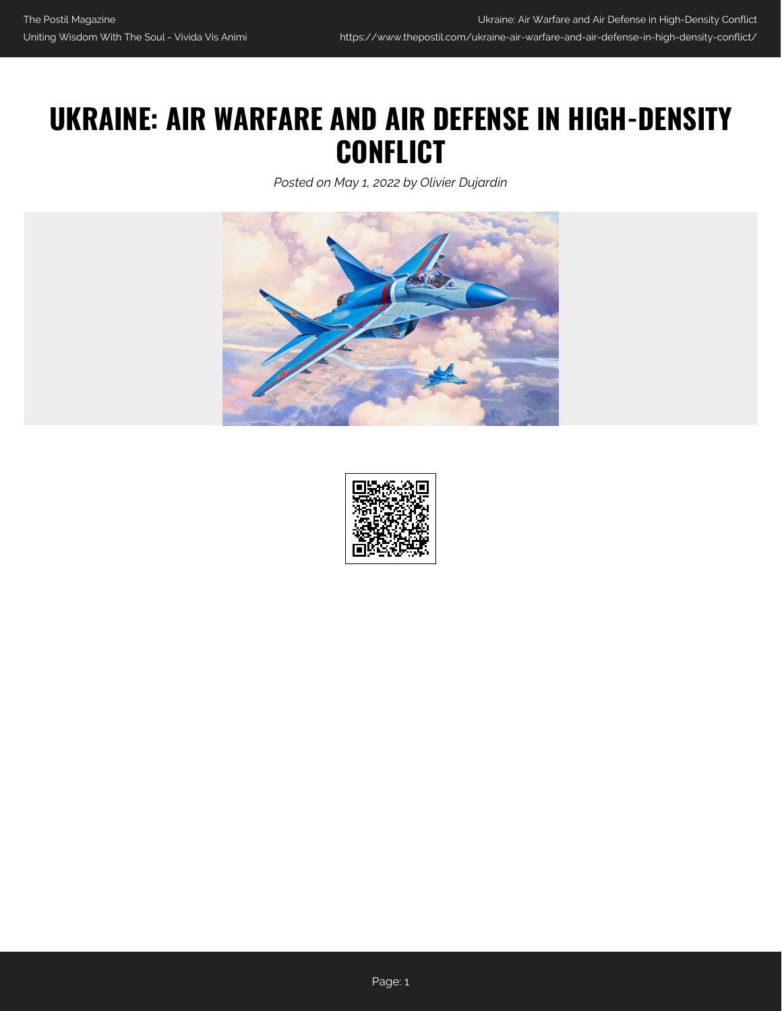## **UKRAINE: AIR WARFARE AND AIR DEFENSE IN HIGH-DENSITY CONFLICT**

*Posted on May 1, 2022 by Olivier Dujardin*



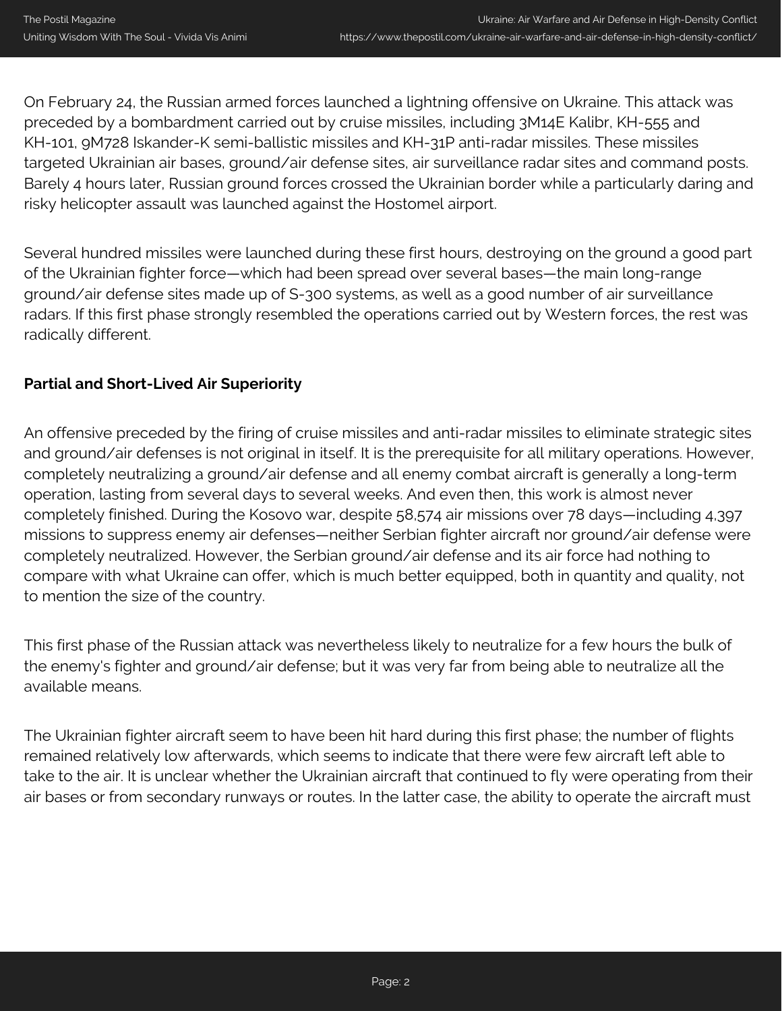On February 24, the Russian armed forces launched a lightning offensive on Ukraine. This attack was preceded by a bombardment carried out by cruise missiles, including 3M14E Kalibr, KH-555 and KH-101, 9M728 Iskander-K semi-ballistic missiles and KH-31P anti-radar missiles. These missiles targeted Ukrainian air bases, ground/air defense sites, air surveillance radar sites and command posts. Barely 4 hours later, Russian ground forces crossed the Ukrainian border while a particularly daring and risky helicopter assault was launched against the Hostomel airport.

Several hundred missiles were launched during these first hours, destroying on the ground a good part of the Ukrainian fighter force—which had been spread over several bases—the main long-range ground/air defense sites made up of S-300 systems, as well as a good number of air surveillance radars. If this first phase strongly resembled the operations carried out by Western forces, the rest was radically different.

## **Partial and Short-Lived Air Superiority**

An offensive preceded by the firing of cruise missiles and anti-radar missiles to eliminate strategic sites and ground/air defenses is not original in itself. It is the prerequisite for all military operations. However, completely neutralizing a ground/air defense and all enemy combat aircraft is generally a long-term operation, lasting from several days to several weeks. And even then, this work is almost never completely finished. During the Kosovo war, despite 58,574 air missions over 78 days—including 4,397 missions to suppress enemy air defenses—neither Serbian fighter aircraft nor ground/air defense were completely neutralized. However, the Serbian ground/air defense and its air force had nothing to compare with what Ukraine can offer, which is much better equipped, both in quantity and quality, not to mention the size of the country.

This first phase of the Russian attack was nevertheless likely to neutralize for a few hours the bulk of the enemy's fighter and ground/air defense; but it was very far from being able to neutralize all the available means.

The Ukrainian fighter aircraft seem to have been hit hard during this first phase; the number of flights remained relatively low afterwards, which seems to indicate that there were few aircraft left able to take to the air. It is unclear whether the Ukrainian aircraft that continued to fly were operating from their air bases or from secondary runways or routes. In the latter case, the ability to operate the aircraft must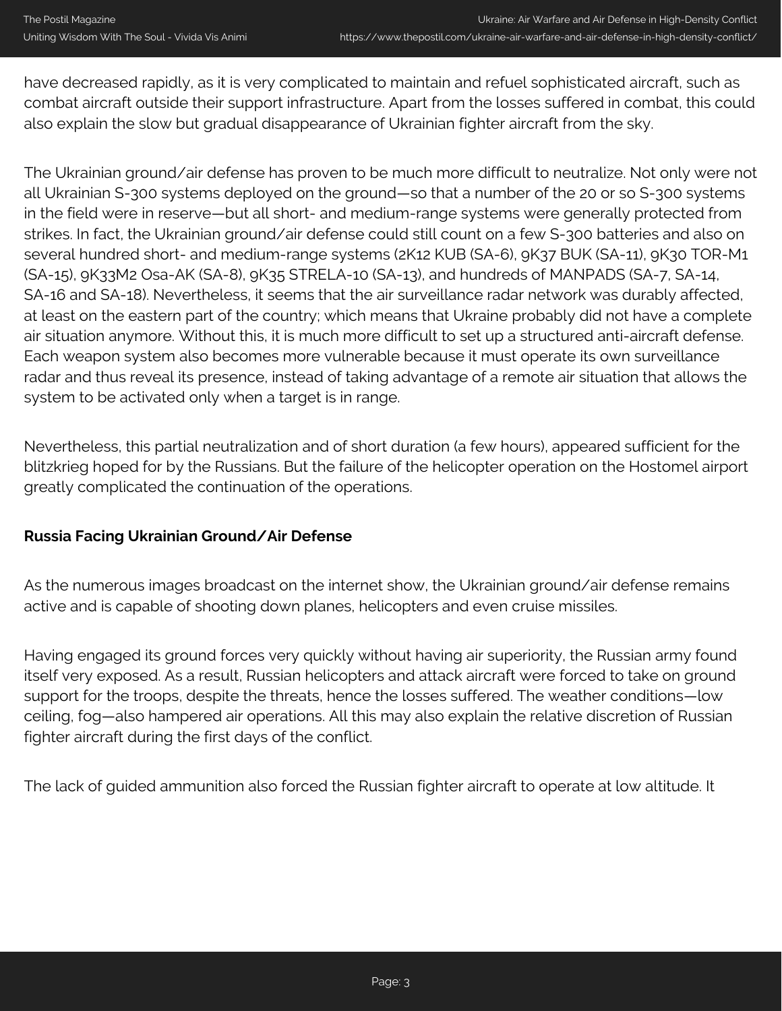have decreased rapidly, as it is very complicated to maintain and refuel sophisticated aircraft, such as combat aircraft outside their support infrastructure. Apart from the losses suffered in combat, this could also explain the slow but gradual disappearance of Ukrainian fighter aircraft from the sky.

The Ukrainian ground/air defense has proven to be much more difficult to neutralize. Not only were not all Ukrainian S-300 systems deployed on the ground—so that a number of the 20 or so S-300 systems in the field were in reserve—but all short- and medium-range systems were generally protected from strikes. In fact, the Ukrainian ground/air defense could still count on a few S-300 batteries and also on several hundred short- and medium-range systems (2K12 KUB (SA-6), 9K37 BUK (SA-11), 9K30 TOR-M1 (SA-15), 9K33M2 Osa-AK (SA-8), 9K35 STRELA-10 (SA-13), and hundreds of MANPADS (SA-7, SA-14, SA-16 and SA-18). Nevertheless, it seems that the air surveillance radar network was durably affected, at least on the eastern part of the country; which means that Ukraine probably did not have a complete air situation anymore. Without this, it is much more difficult to set up a structured anti-aircraft defense. Each weapon system also becomes more vulnerable because it must operate its own surveillance radar and thus reveal its presence, instead of taking advantage of a remote air situation that allows the system to be activated only when a target is in range.

Nevertheless, this partial neutralization and of short duration (a few hours), appeared sufficient for the blitzkrieg hoped for by the Russians. But the failure of the helicopter operation on the Hostomel airport greatly complicated the continuation of the operations.

## **Russia Facing Ukrainian Ground/Air Defense**

As the numerous images broadcast on the internet show, the Ukrainian ground/air defense remains active and is capable of shooting down planes, helicopters and even cruise missiles.

Having engaged its ground forces very quickly without having air superiority, the Russian army found itself very exposed. As a result, Russian helicopters and attack aircraft were forced to take on ground support for the troops, despite the threats, hence the losses suffered. The weather conditions—low ceiling, fog—also hampered air operations. All this may also explain the relative discretion of Russian fighter aircraft during the first days of the conflict.

The lack of guided ammunition also forced the Russian fighter aircraft to operate at low altitude. It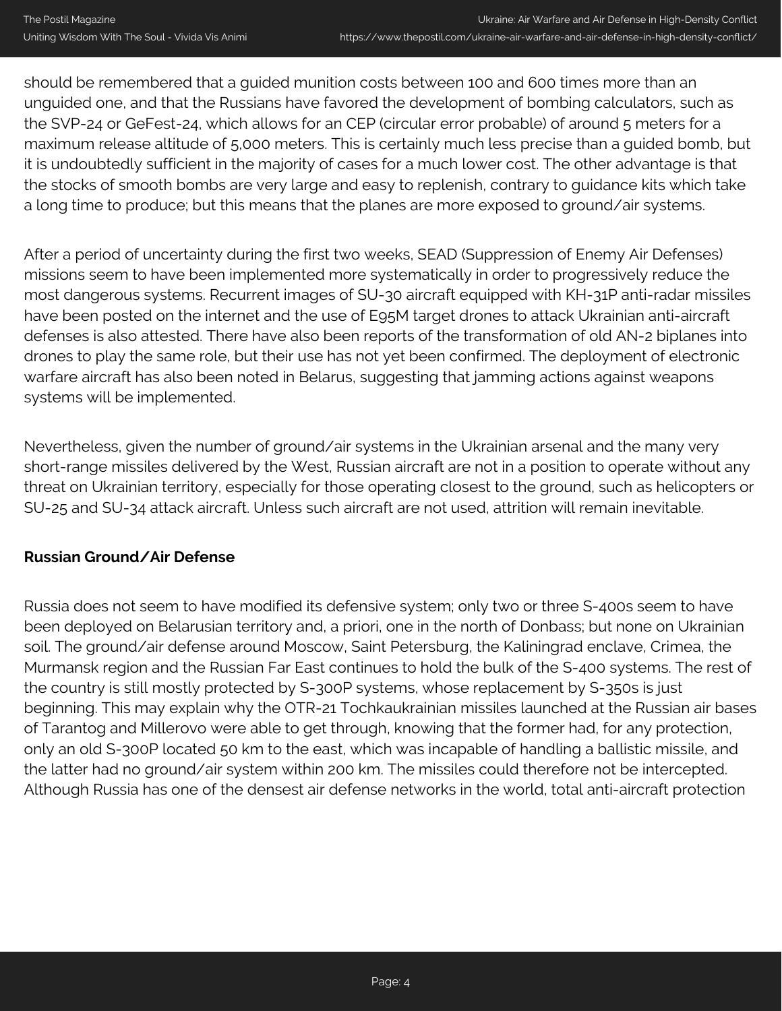should be remembered that a guided munition costs between 100 and 600 times more than an unguided one, and that the Russians have favored the development of bombing calculators, such as the SVP-24 or GeFest-24, which allows for an CEP (circular error probable) of around 5 meters for a maximum release altitude of 5,000 meters. This is certainly much less precise than a guided bomb, but it is undoubtedly sufficient in the majority of cases for a much lower cost. The other advantage is that the stocks of smooth bombs are very large and easy to replenish, contrary to guidance kits which take a long time to produce; but this means that the planes are more exposed to ground/air systems.

After a period of uncertainty during the first two weeks, SEAD (Suppression of Enemy Air Defenses) missions seem to have been implemented more systematically in order to progressively reduce the most dangerous systems. Recurrent images of SU-30 aircraft equipped with KH-31P anti-radar missiles have been posted on the internet and the use of E95M target drones to attack Ukrainian anti-aircraft defenses is also attested. There have also been reports of the transformation of old AN-2 biplanes into drones to play the same role, but their use has not yet been confirmed. The deployment of electronic warfare aircraft has also been noted in Belarus, suggesting that jamming actions against weapons systems will be implemented.

Nevertheless, given the number of ground/air systems in the Ukrainian arsenal and the many very short-range missiles delivered by the West, Russian aircraft are not in a position to operate without any threat on Ukrainian territory, especially for those operating closest to the ground, such as helicopters or SU-25 and SU-34 attack aircraft. Unless such aircraft are not used, attrition will remain inevitable.

## **Russian Ground/Air Defense**

Russia does not seem to have modified its defensive system; only two or three S-400s seem to have been deployed on Belarusian territory and, a priori, one in the north of Donbass; but none on Ukrainian soil. The ground/air defense around Moscow, Saint Petersburg, the Kaliningrad enclave, Crimea, the Murmansk region and the Russian Far East continues to hold the bulk of the S-400 systems. The rest of the country is still mostly protected by S-300P systems, whose replacement by S-350s is just beginning. This may explain why the OTR-21 Tochkaukrainian missiles launched at the Russian air bases of Tarantog and Millerovo were able to get through, knowing that the former had, for any protection, only an old S-300P located 50 km to the east, which was incapable of handling a ballistic missile, and the latter had no ground/air system within 200 km. The missiles could therefore not be intercepted. Although Russia has one of the densest air defense networks in the world, total anti-aircraft protection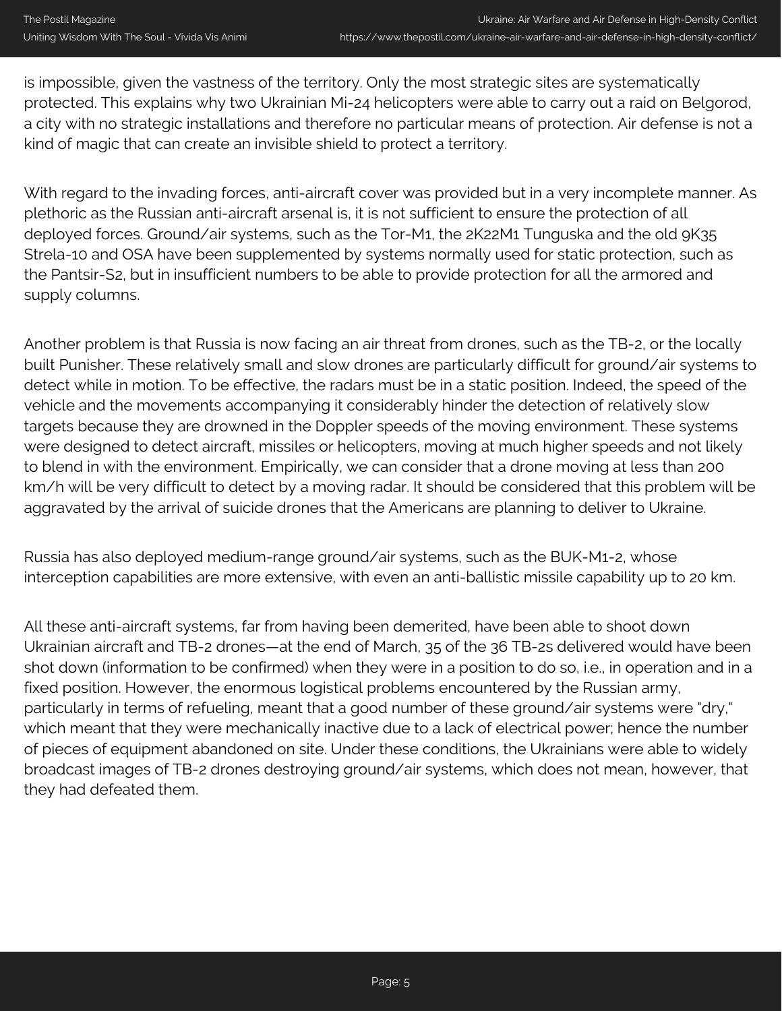is impossible, given the vastness of the territory. Only the most strategic sites are systematically protected. This explains why two Ukrainian Mi-24 helicopters were able to carry out a raid on Belgorod, a city with no strategic installations and therefore no particular means of protection. Air defense is not a kind of magic that can create an invisible shield to protect a territory.

With regard to the invading forces, anti-aircraft cover was provided but in a very incomplete manner. As plethoric as the Russian anti-aircraft arsenal is, it is not sufficient to ensure the protection of all deployed forces. Ground/air systems, such as the Tor-M1, the 2K22M1 Tunguska and the old 9K35 Strela-10 and OSA have been supplemented by systems normally used for static protection, such as the Pantsir-S2, but in insufficient numbers to be able to provide protection for all the armored and supply columns.

Another problem is that Russia is now facing an air threat from drones, such as the TB-2, or the locally built Punisher. These relatively small and slow drones are particularly difficult for ground/air systems to detect while in motion. To be effective, the radars must be in a static position. Indeed, the speed of the vehicle and the movements accompanying it considerably hinder the detection of relatively slow targets because they are drowned in the Doppler speeds of the moving environment. These systems were designed to detect aircraft, missiles or helicopters, moving at much higher speeds and not likely to blend in with the environment. Empirically, we can consider that a drone moving at less than 200 km/h will be very difficult to detect by a moving radar. It should be considered that this problem will be aggravated by the arrival of suicide drones that the Americans are planning to deliver to Ukraine.

Russia has also deployed medium-range ground/air systems, such as the BUK-M1-2, whose interception capabilities are more extensive, with even an anti-ballistic missile capability up to 20 km.

All these anti-aircraft systems, far from having been demerited, have been able to shoot down Ukrainian aircraft and TB-2 drones—at the end of March, 35 of the 36 TB-2s delivered would have been shot down (information to be confirmed) when they were in a position to do so, i.e., in operation and in a fixed position. However, the enormous logistical problems encountered by the Russian army, particularly in terms of refueling, meant that a good number of these ground/air systems were "dry," which meant that they were mechanically inactive due to a lack of electrical power; hence the number of pieces of equipment abandoned on site. Under these conditions, the Ukrainians were able to widely broadcast images of TB-2 drones destroying ground/air systems, which does not mean, however, that they had defeated them.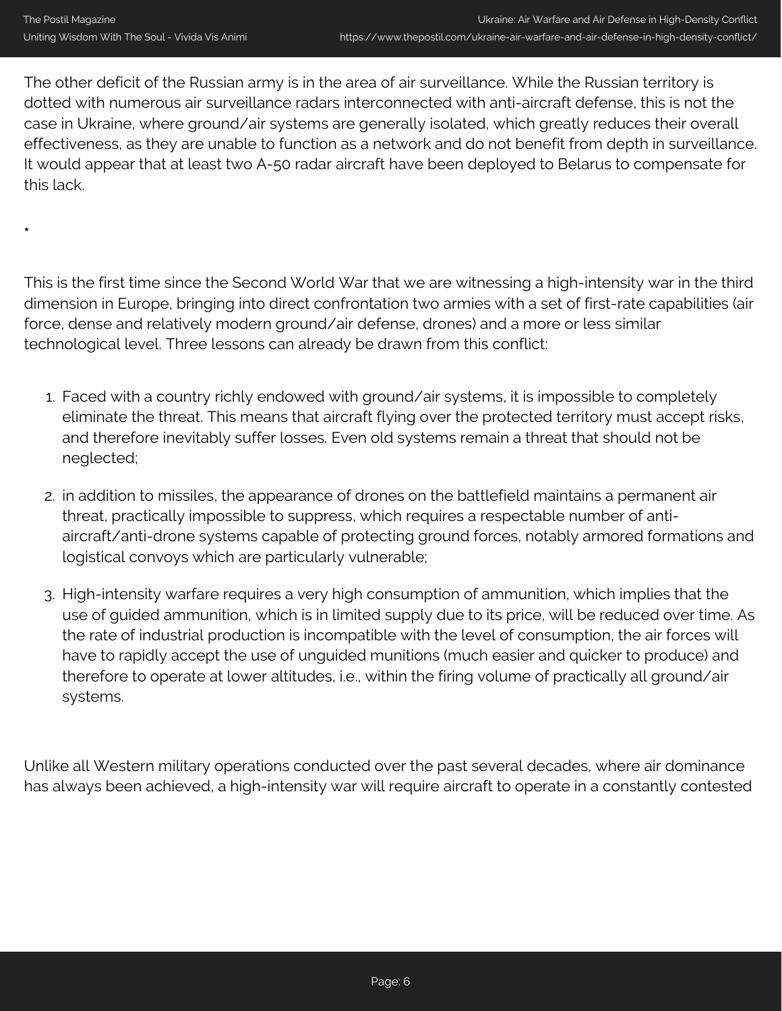**\***

The other deficit of the Russian army is in the area of air surveillance. While the Russian territory is dotted with numerous air surveillance radars interconnected with anti-aircraft defense, this is not the case in Ukraine, where ground/air systems are generally isolated, which greatly reduces their overall effectiveness, as they are unable to function as a network and do not benefit from depth in surveillance. It would appear that at least two A-50 radar aircraft have been deployed to Belarus to compensate for this lack.

This is the first time since the Second World War that we are witnessing a high-intensity war in the third dimension in Europe, bringing into direct confrontation two armies with a set of first-rate capabilities (air force, dense and relatively modern ground/air defense, drones) and a more or less similar technological level. Three lessons can already be drawn from this conflict:

- 1. Faced with a country richly endowed with ground/air systems, it is impossible to completely eliminate the threat. This means that aircraft flying over the protected territory must accept risks, and therefore inevitably suffer losses. Even old systems remain a threat that should not be neglected;
- 2. in addition to missiles, the appearance of drones on the battlefield maintains a permanent air threat, practically impossible to suppress, which requires a respectable number of antiaircraft/anti-drone systems capable of protecting ground forces, notably armored formations and logistical convoys which are particularly vulnerable;
- 3. High-intensity warfare requires a very high consumption of ammunition, which implies that the use of guided ammunition, which is in limited supply due to its price, will be reduced over time. As the rate of industrial production is incompatible with the level of consumption, the air forces will have to rapidly accept the use of unguided munitions (much easier and quicker to produce) and therefore to operate at lower altitudes, i.e., within the firing volume of practically all ground/air systems.

Unlike all Western military operations conducted over the past several decades, where air dominance has always been achieved, a high-intensity war will require aircraft to operate in a constantly contested